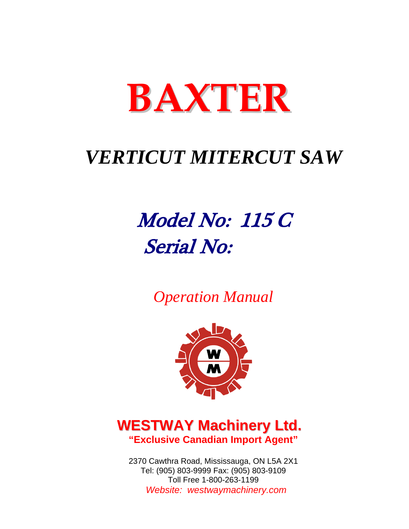

# *VERTICUT MITERCUT SAW*

# Model No: 115 C Serial No:

*Operation Manual* 



# **WESTWAY Machinery Ltd. "Exclusive Canadian Import Agent"**

2370 Cawthra Road, Mississauga, ON L5A 2X1 Tel: (905) 803-9999 Fax: (905) 803-9109 Toll Free 1-800-263-1199 Website: westwaymachinery.com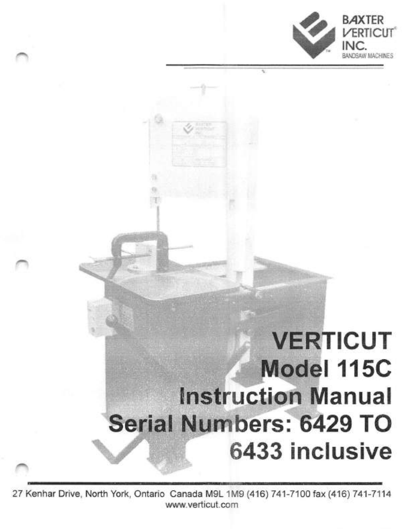



VERTICUT Model 115C instruction Manual Serial Numbers: 6429 TO 6433 inclusive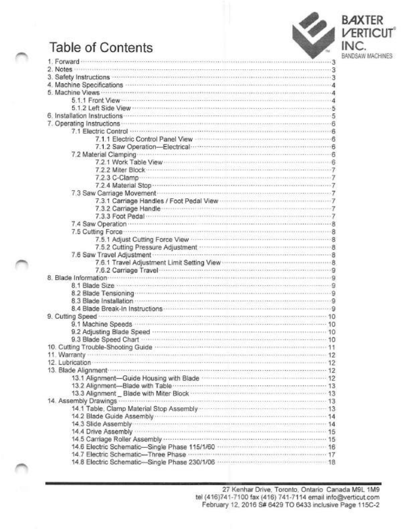# Table of Contents





| 1. Forward                                                                                                                                                                                                                           |  |
|--------------------------------------------------------------------------------------------------------------------------------------------------------------------------------------------------------------------------------------|--|
|                                                                                                                                                                                                                                      |  |
| 3. Safety Instructions <b>Constitutions Constitutions 3</b>                                                                                                                                                                          |  |
| 4. Machine Specifications <b>contract and the Specifications</b>                                                                                                                                                                     |  |
| 5. Machine Views were recommendated and construction and construction of the Views of the A                                                                                                                                          |  |
| 5.1.1 Front View <b>Constitution</b> Constitution of the Constitution of Australian Constitution of Australian Constitution of Australian Constitution of Australian Constitution of Australian Constitution of Australian Constitu  |  |
| 5.1.2 Left Side View communication communications association assessment in S                                                                                                                                                        |  |
|                                                                                                                                                                                                                                      |  |
| 7. Operating Instructions <b>Executive Contract Contract Contract Contract Contract Contract Contract Contract Contract Contract Contract Contract Contract Contract Contract Contract Contract Contract Contract Contract Contr</b> |  |
| 7.1 Electric Control www.www.www.www.www.www.www.www.www.web                                                                                                                                                                         |  |
|                                                                                                                                                                                                                                      |  |
|                                                                                                                                                                                                                                      |  |
| 7.1.2 Saw Operation-Electrical manuscription and Sales B                                                                                                                                                                             |  |
| 7.2 Material Clamping entertainment and a control of a control of a control of a control of a control of a control of a control of a control of a control of a control of a control of a control of a control of a control of        |  |
| 7.2.1 Work Table View William Communication Communication of G                                                                                                                                                                       |  |
|                                                                                                                                                                                                                                      |  |
|                                                                                                                                                                                                                                      |  |
|                                                                                                                                                                                                                                      |  |
| 7.3 Saw Carriage Movement                                                                                                                                                                                                            |  |
| 7.3.1 Carriage Handles / Foot Pedal View <b>Commission Commission</b>                                                                                                                                                                |  |
| 7.3.2 Carriage Handle <b>Communication Communication</b> Property of President Property of President President President President President President President President President President President President President Presid  |  |
| 7.3.3 Foot Pedal <b>Procession Communication</b> Processing Contract Processing T                                                                                                                                                    |  |
|                                                                                                                                                                                                                                      |  |
| 7.5 Cutting Force <b>Constitution Constitution</b> Constitution Constitution Constitution Constitution Constitution R                                                                                                                |  |
| 7.5.1 Adjust Cutting Force View <b>Constitution</b> B                                                                                                                                                                                |  |
| 7.5.2 Cutting Pressure Adjustment manuscription and contact and a                                                                                                                                                                    |  |
| 7.6 Saw Travel Adjustment                                                                                                                                                                                                            |  |
|                                                                                                                                                                                                                                      |  |
| 7.6.2 Carriage Travel                                                                                                                                                                                                                |  |
|                                                                                                                                                                                                                                      |  |
|                                                                                                                                                                                                                                      |  |
| 8.2 Blade Tensioning <b>contract the contract of the Contract of Contract of Contract of Contract of Contract of Contract of Contract of Contract of Contract of Contract of Contract of Contract of Contract of Contract of Con</b> |  |
|                                                                                                                                                                                                                                      |  |
| 8.3 Blade Installation <b>Commission Commission</b> Commission Commission Commission Commission                                                                                                                                      |  |
|                                                                                                                                                                                                                                      |  |
| 9. Cutting Speed <b>continuous continuous continuous continuous</b> continuous continuous 10                                                                                                                                         |  |
| 9.1 Machine Speeds (10) 10 and 10 and 10 and 10 and 10 and 10 and 10 and 10 and 10 and 10 and 10 and 10 and 10                                                                                                                       |  |
|                                                                                                                                                                                                                                      |  |
| 9.3 Blade Speed Chart <b>Constitution Constitution Constitution</b> 10                                                                                                                                                               |  |
|                                                                                                                                                                                                                                      |  |
| 11. Warranty <b>communication communication</b> communication continues and continues and the 12                                                                                                                                     |  |
|                                                                                                                                                                                                                                      |  |
| 13. Blade Alignment <b>Commission Commission Commission</b> Blade Alignment 12                                                                                                                                                       |  |
|                                                                                                                                                                                                                                      |  |
|                                                                                                                                                                                                                                      |  |
|                                                                                                                                                                                                                                      |  |
| 14. Assembly Drawings <b>Constitution Constitution</b> 13                                                                                                                                                                            |  |
| 14.1 Table, Clamp Material Stop Assembly manufactured and 13                                                                                                                                                                         |  |
|                                                                                                                                                                                                                                      |  |
|                                                                                                                                                                                                                                      |  |
| 14.3 Slide Assembly 14                                                                                                                                                                                                               |  |
| 14.4 Drive Assembly occurrences accessors and contained access to the set of 5                                                                                                                                                       |  |
|                                                                                                                                                                                                                                      |  |
| 14.6 Electric Schematic-Single Phase 115/1/60 mmmmmmmmmmmmmmmmm 16                                                                                                                                                                   |  |
|                                                                                                                                                                                                                                      |  |
|                                                                                                                                                                                                                                      |  |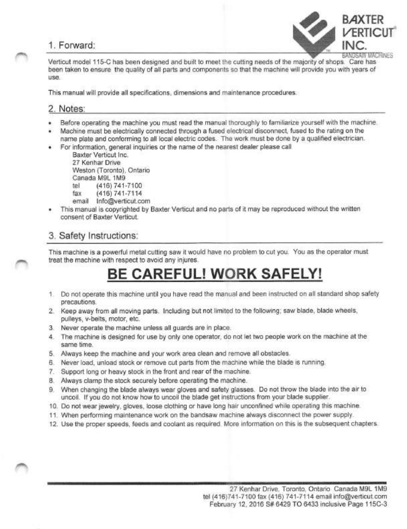

Verticut model 115-C has been designed and built to meet the cutting needs of the majority of shops. Care has been taken to ensure the quality of all parts and components so that the machine will provide you with years of use.

This manual will provide all specifications, dimensions and maintenance procedures.

#### 2. Notes:

- Before operating the machine you must read the manual thoroughly to familiarize yourself with the machine.
- Machine must be electrically connected through a fused electrical disconnect, fused to the rating on the
- name plate and conforming to all local electric codes. The work must be done by a qualified electrician.
- For information, general inquiries or the name of the nearest dealer please call

Baxter Verticut Inc. 27 Kenhar Drive Weston (Toronto), Ontario Canada M9L 1M9 tel (416) 741-7100 fax (416) 741-7114

- email lnfo@verticut.com
- This manual is copyrighted by Baxter Verticut and no parts of it may be reproduced without the written consent of Baxter Verticut.

### 3. Safety Instructions:

This machine is a powerful metal cutting saw it would have no problem to cut you. You as the operator must treat the machine with respect to avoid any injures.

# BE CAREFUL! WORK SAFELY!

- 1. Do not operate this machine until you have read the manual and been instructed on all standard shop safety precautions.
- 2. Keep away from all moving parts. Including but not limited to the following; saw blade, blade wheels, pulleys, v-belts, motor, etc.
- 3. Never operate the machine unless all guards are in place.
- 4. The machine is designed for use by only one operator, do not let two people work on the machine at the same time.
- 5. Always keep the machine and your work area clean and remove all obstacles.
- 6. Never load, unload stock or remove cut parts from the machine while the blade is running.
- 7. Support long or heavy stock in the front and rear of the machine.
- 8. Always clamp the stock securely before operating the machine.
- 9. When changing the blade always wear gloves and safety glasses. Do not throw the blade into the air to uncoil. If you do not know how to uncoil the blade get instructions from your blade supplier.
- 10. Do not wear jewelry, gloves, loose clothing or have long hair unconfined while operating this machine.
- 11. When performing maintenance work on the bandsaw machine always disconnect the power supply.
- 12. Use the proper speeds, feeds and coolant as required. More information on this is the subsequent chapters.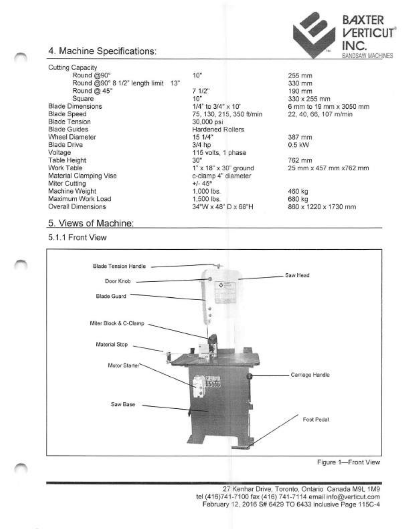

### 4. Machine Specifications:

Cutting Capacity Round @90° Round @90° 8 1/2" length limit 13" Round @ 45° Square Blade Dimensions Blade Speed Blade Tension Blade Guides Wheel Diameter Blade Drive Voltage Table Height Work Table Material Clamping Vise Miter Cutting Machine Weight Maximum Work Load Overall Dimensions

#### 7 1/2" 10" 1/4" to 3/4" X 10' 75, 130, 215, 350 ft/min 30,000 psi Hardened Rollers 15 1/4" 3/4 hp 115 volts, 1 phase 30" 1" X 18" X 30" ground c-clamp 4" diameter +/- 45° 1,000 lbs. 1,600 lbs. 34"W X 48" D X 68"H

 $10"$ 

255 mm 330 mm 190 mm 330 X 255 mm 6 mm to 19 mm x 3050 mm 22,40, 66, 107 m/min

387 mm 0.5 kW

762 mm 25 mm x 457 mm x762 mm

460 kg 680 kg 860x 1220x 1730 mm

#### 5. Views of Machine:

5.1.1 Front View

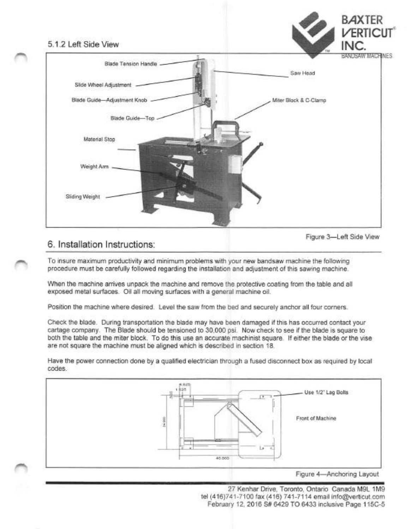

Figure 3—Left Side View

### 6. Installation Instructions:

To insure maximum productivity and minimum problems with your new bandsaw machine the following procedure must be carefully followed regarding the installation and adjustment of this sawing machine.

When the machine arrives unpack the machine and remove the protective coating from the table and all exposed metal surfaces. Oil all moving surfaces with a general machine oil.

Position the machine where desired. Level the saw from the bed and securely anchor all four corners.

Check the blade. During transportation the blade may have been damaged if this has occurred contact your cartage company. The Blade should be tensioned to 30,000 psi. Now check to see if the blade is square to both the table and the miter block. To do this use an accurate machinist square. If either the blade or the vise are not square the machine must be aligned which is described in section 18.

Have the power connection done by a qualified electrician through a fused disconnect box as required by local codes.

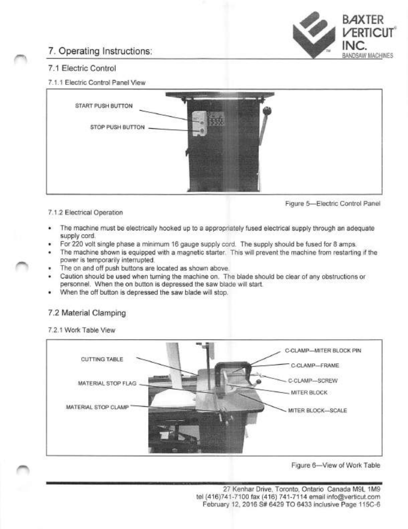

## 7. Operating Instructions:

#### 7.1 Electric Control

#### 7.1.1 Electric Control Panel View



Figure 5—Electric Control Panel

#### 7.1.2 Electrical Operation

- The machine must be electrically hooked up to a appropriately fused electrical supply through an adequate supply cord.
- For 220 volt single phase a minimum 16 gauge supply cord. The supply should be fused for 8 amps.
- The machine shown is equipped with a magnetic starter. This will prevent the machine from restarting if the power is temporarily interrupted,
- The on and off push buttons are located as shown above.
- Caution should be used when turning the machine on. The blade should be clear of any obstructions or personnel. When the on button is depressed the saw blade will start.
- When the off button is depressed the saw blade will stop.

#### 7.2 Material Clamping

#### 7.2.1 Work Table View

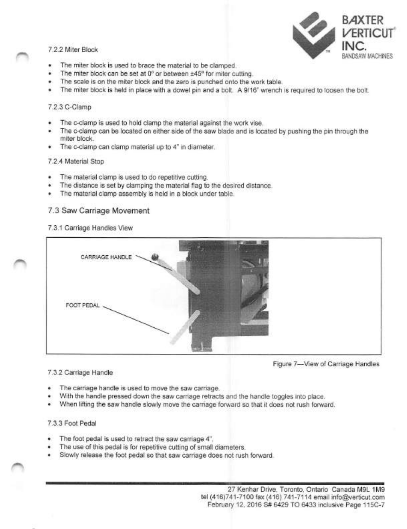

- The miter block is used to brace the material to be clamped.
- The miter block can be set at 0° or between ±45° for miter cutting.
- The scale is on the miter block and the zero is punched onto the work table.
- The miter block is held in place with a dowel pin and a bolt. A 9/16" wrench is required to loosen the bolt.

#### 7.2.3 C-Clamp

- The c-clamp is used to hold clamp the material against the work vise.
- The c-clamp can be located on either side of the saw blade and is located by pushing the pin through the miter block.
- The c-clamp can clamp material up to 4" in diameter.

#### 7.2.4 Material Stop

- The material clamp is used to do repetitive cutting.
- The distance is set by clamping the material flag to the desired distance.
- The material clamp assembly is held in a block under table.

#### 7.3 Saw Carriage Movement

7.3.1 Carnage Handles View



Figure 7—View of Carriage Handles

#### 7.3.2 Carriage Handle

- The carriage handle is used to move the saw carriage.
- With the handle pressed down the saw carriage retracts and the handle toggles into place.
- When lifting the saw handle slowly move the carriage forward so that it does not rush forward.

#### 7.3.3 Foot Pedal

- The foot pedal is used to retract the saw carriage 4".
- The use of this pedal is for repetitive cutting of small diameters.
- Slowly release the foot pedal so that saw carriage does not rush forward.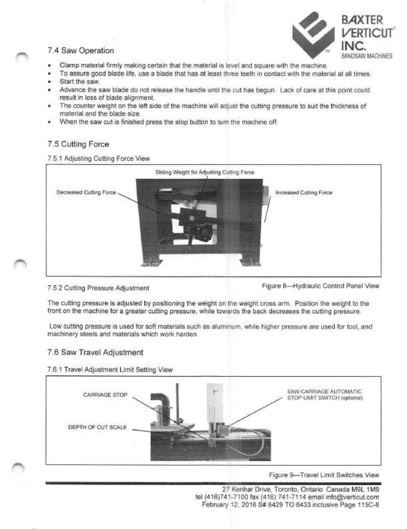# **BAXTER** VERTICUT 7.4 Saw Operation **INC. INC. INC. INC.**

- Clamp material firmly making certain that the material is level and square with the machine.
- To assure good blade life, use a blade that has at least three teeth in contact with the material at all times.
- Start the saw.
- Advance the saw blade do not release the handle until the cut has begun. Lack of care at this point could result in loss of blade alignment.
- The counter weight on the left side of the machine will adjust the cutting pressure to suit the thickness of material and the blade size.
- When the saw cut is finished press the stop button to turn the machine off.

#### 7.5 Cutting Force

#### 7.5.1 Adjusting Cutting Force View



7.5.2 Cutting Pressure Adjustment Figure 8-Hydraulic Control Panel View

The cutting pressure is adjusted by positioning the weight on the weight cross arm. Position the weight to the front on the machine for a greater cutting pressure, while towards the back decreases the cutting pressure.

Low cutting pressure is used for soft materials such as aluminum, while higher pressure are used for tool, and machinery steels and materials which work harden.

#### 7.6 Saw Travel Adjustment

7.6.1 Travel Adjustment Limit Setting View

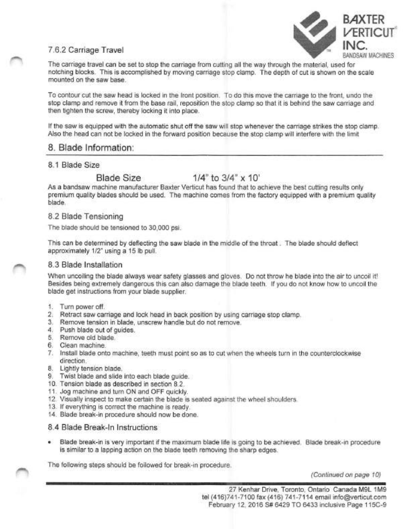

The carriage travel can be set to stop the carriage from cutting all the way through the material, used for notching blocks. This is accomplished by moving carriage stop clamp. The depth of cut is shown on the scale mounted on the saw base.

To contour cut the saw head is locked in the front position. To do this move the carriage to the front, undo the stop clamp and remove it from the base rail, reposition the stop clamp so that it is behind the saw carriage and then tighten the screw, thereby locking it into place.

If the saw is equipped with the automatic shut off the saw will stop whenever the carriage strikes the stop clamp. Also the head can not be locked in the forward position because the stop clamp will Interfere with the limit

#### 8. Blade Information:

#### 8.1 Blade Size

### Blade Size 1/4" to 3/4" x 10'

As a bandsaw machine manufacturer Baxter Verticut has found that to achieve the best cutting results only premium quality blades should be used. The machine comes from the factory equipped with a premium quality blade.

#### 8.2 Blade Tensioning

The blade should be tensioned to 30,000 psi.

This can be determined by deflecting the saw blade In the middle of the throat. The blade should deflect approximately 1/2" using a 15 lb pull.

#### 8.3 Blade Installation

When uncoiling the blade always wear safety glasses and gloves. Do not throw he blade into the air to uncoil it! Besides being extremely dangerous this can also damage the blade teeth. If you do not know how to uncoil the blade get instructions from your blade supplier.

- 1. Turn power off.
- 2. Retract saw carriage and lock head In back position by using carriage stop clamp.
- 3. Remove tension in blade, unscrew handle but do not remove.
- 4. Push blade out of guides.
- 5. Remove old blade.
- 6. Clean machine.
- 7. Install blade onto machine, teeth must point so as to cut when the wheels turn in the counterclockwise direction.
- 8. Lightly tension blade.
- 9. Twist blade and slide into each blade guide.
- 10. Tension blade as described in section 8.2.
- 11. Jog machine and turn ON and OFF quickly.
- 12. Visually inspect to make certain the blade is seated against the wheel shoulders.
- 13. If everything is correct the machine is ready.
- 14. Blade break-in procedure should now be done.

#### 8.4 Blade Break-In Instructions

Blade break-in is very important if the maximum blade life is going to be achieved. Blade break-in procedure is similar to a lapping action on the blade teeth removing the sharp edges.

The following steps should be followed for break-in procedure.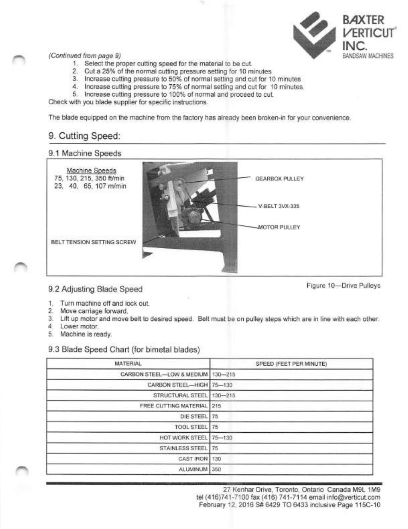

- 1. Select the proper cutting speed for the material to be cut.
- 2. Cut a 25% of the normal cutting pressure setting for 10 minutes
- 3. Increase cutting pressure to 50% of normal setting and cut for 10 minutes
- 4. Increase cutting pressure to 75% of normal setting and cut for 10 minutes.
- 5. Increase cutting pressure to 100% of normal and proceed to cut.

Check with you blade supplier for specific instructions.

The blade equipped on the machine from the factory has already been broken-in for your convenience.

### 9. Cutting Speed:

#### 9.1 Machine Speeds



### 9.2 Adjusting Blade Speed Figure 10—Drive Pulleys

- 1. Turn machine off and lock out.
- 2. Move carriage forward.
- 3. Lift up motor and move belt to desired speed. Belt must be on pulley steps which are in line with each other.
- 4. Lower motor.
- 5. Machine is ready.

#### 9.3 Blade Speed Chart (for bimetal blades)

| MATERIAL                            | SPEED (FEET PER MINUTE) |
|-------------------------------------|-------------------------|
| CARBON STEEL-LOW & MEDIUM   130-215 |                         |
| CARBON STEEL-HIGH 75-130            |                         |
| STRUCTURAL STEEL                    | $130 - 215$             |
| FREE CUTTING MATERIAL 215           |                         |
| DIE STEEL 75                        |                         |
| TOOL STEEL 75                       |                         |
| HOT WORK STEEL 75-130               |                         |
| STAINLESS STEEL   75                |                         |
| CAST IRON                           | 130                     |
| ALUMINUM                            | 350                     |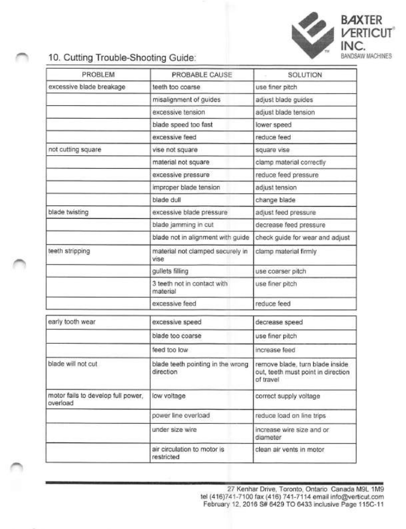

## 10. Cutting Trouble-Shooting Guide:

| PROBLEM                                        | PROBABLE CAUSE                                 | SOLUTION                                                                           |
|------------------------------------------------|------------------------------------------------|------------------------------------------------------------------------------------|
| excessive blade breakage                       | teeth too coarse                               | use finer pitch                                                                    |
|                                                | misalignment of guides                         | adjust blade guides                                                                |
|                                                | excessive tension                              | adjust blade tension                                                               |
|                                                | blade speed too fast                           | lower speed                                                                        |
|                                                | excessive feed                                 | reduce feed                                                                        |
| not cutting square                             | vise not square                                | square vise                                                                        |
|                                                | material not square                            | clamp material correctly                                                           |
|                                                | excessive pressure                             | reduce feed pressure                                                               |
|                                                | improper blade tension                         | adjust tension                                                                     |
|                                                | blade dull                                     | change blade                                                                       |
| blade twisting                                 | excessive blade pressure                       | adjust feed pressure                                                               |
|                                                | blade jamming in cut                           | decrease feed pressure                                                             |
|                                                | blade not in alignment with guide              | check guide for wear and adjust                                                    |
| teeth stripping                                | material not clamped securely in<br>vise       | clamp material firmly                                                              |
|                                                | gullets filling                                | use coarser pitch                                                                  |
|                                                | 3 teeth not in contact with<br>material        | use finer pitch                                                                    |
|                                                | excessive feed                                 | reduce feed                                                                        |
| early tooth wear                               | excessive speed                                | decrease speed                                                                     |
|                                                | blade too coarse                               | use finer pitch                                                                    |
|                                                | feed too low                                   | increase feed                                                                      |
| blade will not cut                             | blade teeth pointing in the wrong<br>direction | remove blade, turn blade inside<br>out, teeth must point in direction<br>of travel |
| motor fails to develop full power.<br>overload | low voltage                                    | correct supply voltage                                                             |
|                                                | power line overload                            | reduce load on line trips                                                          |
|                                                | under size wire                                | increase wire size and or<br>diameter                                              |
|                                                | air circulation to motor is<br>restricted      | clean air vents in motor                                                           |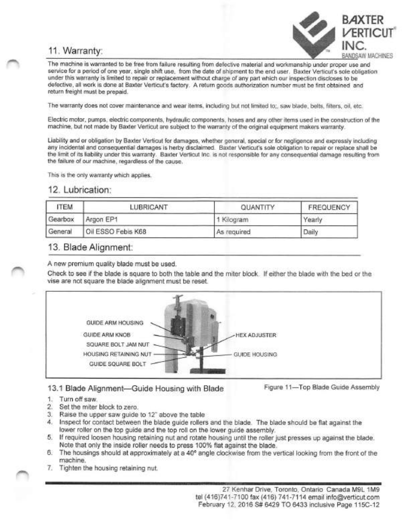## 11. Warranty:



The machine is warranted to be free from failure resulting from defective material and workmanship under proper use and service for a period of one year, single shift use, from the date of shipment to the end user. Baxter Verticut's sole obligation under this warranty is limited to repair or replacement without charge of any part which our inspection discloses to be defective, all work is done at Baxter Verticut's factory. A return goods authorization number must be first obtained and return freight must be prepaid.

The warranty does not cover maintenance and wear items, including but not limited to;, saw blade, belts, filters, oil, etc.

Electric motor, pumps, electric components, hydraulic components, hoses and any other items used in the construction of the machine, but not made by Baxter Verticut are subject to the warranty of the original equipment makers warranty.

Liability and or obligation by Baxter Verticut for damages, whether general, special or for negligence and expressly including any incidental and consequential damages is herby disclaimed. Baxter Verticut's sole obligation to repair or replace shall be the limit of its liability under this warranty. Baxter Verticut Inc. is not responsible for any consequential damage resulting from the failure of our machine, regardless of the cause.

This is the only warranty which applies.

#### 12. Lubrication:

| <b>ITEM</b> | LUBRICANT          | QUANTITY    | <b>FREQUENCY</b> |  |
|-------------|--------------------|-------------|------------------|--|
| Gearbox     | Argon EP1          | 1 Kilogram  | Yearly           |  |
| General     | Oil ESSO Febis K68 | As required | Daily            |  |

#### 13. Blade Alignment:

A new premium quality blade must be used.

Check to see if the blade is square to both the table and the miter block. If either the blade with the bed or the vise are not square the blade alignment must be reset.



#### 13.1 Blade Alignment—Guide Housing with Blade Figure 11—Top Blade Guide Assembly

- 1. Turn off saw.
- 2. Set the miter block to zero.
- 3. Raise the upper saw guide to 12" above the table
- 4. Inspect for contact between the blade guide rollers and the blade. The blade should be flat against the lower roller on the top guide and the top roll on the lower guide assembly.
- 5. If required loosen housing retaining nut and rotate housing until the roller just presses up against the blade. Note that only the inside roller needs to press 100% flat against the blade.
- 6. The housings should at approximately at a 40° angle clockwise from the vertical looking from the front of the machine.
- 7. Tighten the housing retaining nut.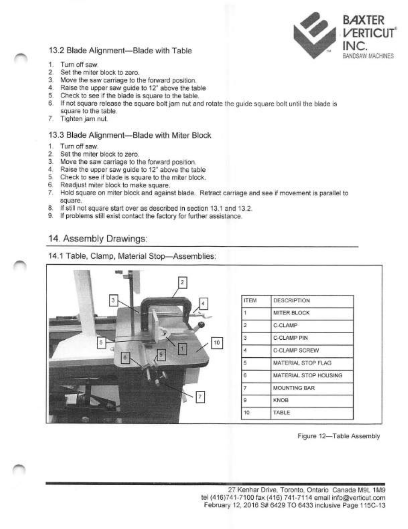

#### 13.2 Blade Alignment-Blade with Table

- 1. Turn off saw.
- 2. Set the miter block to zero.
- 3. Move the saw carriage to the forward position.
- 4. Raise the upper saw guide to 12" above the table
- 5. Check to see if the blade is square to the table.
- 6. If not square release the square bolt jam nut and rotate the guide square bolt until the blade is square to the table.
- 7. Tighten jam nut.

#### 13.3 Blade Alignment—Blade with Miter Block

- 1. Turn off saw.
- 2. Set the miter block to zero.
- 3. Move the saw carriage to the forward position.
- 4. Raise the upper saw guide to 12" above the table
- 5. Check to see if blade is square to the miter block.
- 6. Readjust miter block to make square.
- 7. Hold square on miter block and against blade. Retract carriage and see if movement is parallel to square.
- 8. If still not square start over as described in section 13.1 and 13.2.
- 9. If problems still exist contact the factory for further assistance.

### 14. Assembly Drawings:

14.1 Table, Clamp. Material Stop—^Assemblies;

| $1 - 7$<br>2 |                 |                       |
|--------------|-----------------|-----------------------|
|              | <b>ITEM</b>     | DESCRIPTION           |
|              |                 | MITER BLOCK           |
|              |                 | C-CLAMP               |
|              |                 | C-CLAMP PIN           |
| 10<br>5<br>a |                 | C-CLAMP SCREW         |
|              |                 | MATERIAL STOP FLAG    |
|              | B               | MATERIAL STOP HOUSING |
|              |                 | MOUNTING BAR          |
|              | 9               | KNOB                  |
|              | 10 <sub>1</sub> | TABLE                 |

Figure 12—Table Assembly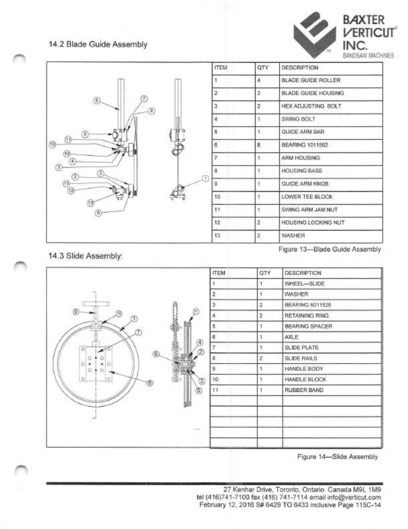#### 14.2 Blade Guide Assembly





14.3 Slide Assembly:





Figure 14—Slide Assembly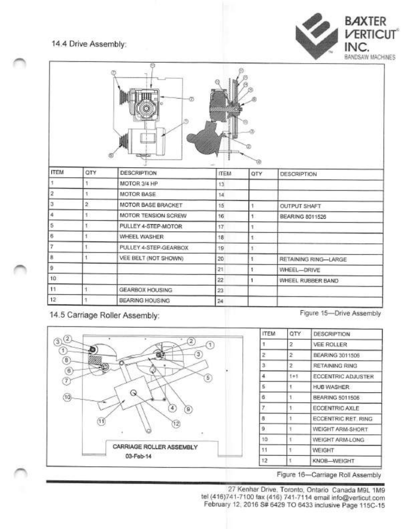#### 14.4 Drive Assembly:



|             |             | (9.1)<br>m            |             | T4)          |                      |
|-------------|-------------|-----------------------|-------------|--------------|----------------------|
| <b>ITEM</b> | QTY         | <b>DESCRIPTION</b>    | <b>ITEM</b> | QTY          | DESCRIPTION          |
|             |             | MOTOR 3/4 HP          | 13          |              |                      |
| 2           | 1           | MOTOR BASE            | 14.         |              |                      |
| з           | $\mathbf 2$ | MOTOR BASE BRACKET    | 15          | ۹            | OUTPUT SHAFT         |
| ă           | 1           | MOTOR TENSION SCREW   | 16          | $\uparrow$   | BEARING 8011526      |
| 5           | Ť           | PULLEY 4-STEP-MOTOR   | 17.         | Ŧ.           |                      |
| 6           | Ť.          | WHEEL WASHER          | 18          | $\mathbb{R}$ |                      |
| 7           | t           | PULLEY 4-STEP-GEARBOX | 19          | Ť.           |                      |
| 8           | 1           | VEE BELT (NOT SHOWN)  | 20          | 1            | RETAINING RING-LARGE |
| 9           |             |                       | 21          | v            | WHEEL-DRIVE          |
| 10          |             |                       | $22\,$      | ١            | WHEEL RUBBER BAND    |
| 11          |             | GEARBOX HOUSING       | $23\,$      |              |                      |
| 12          | ۰           | BEARING HOUSING       | $^{24}$     |              |                      |

<sup>14.5</sup> Carriage Roller Assembly: Figure 15-Drive Assembly



| <b>ITEM</b> | QTY     | <b>DESCRIPTION</b>        |
|-------------|---------|---------------------------|
| Ŧ.          | 2       | VEE ROLLER                |
| Z.          | 2       | BEARING 3011505           |
| 3           | z.      | RETAINING RING            |
| 4.          | $1 + 1$ | <b>ECCENTRIC ADJUSTER</b> |
| 6.          | ۴.      | <b>HUB WASHER</b>         |
| 6.          | 1.      | BEARING 5011506           |
| 7.          | ۹.      | ECCENTRIC AXLE            |
| 8           | Î       | ECCENTRIC RET. RING       |
| 9           | ١.      | WEIGHT ARM-SHORT          |
| 10          | T.      | WEIGHT ARM-LONG           |
| 11          | t.      | WEIGHT                    |
| 12<br>τ     |         | KNOB-WEIGHT               |

Figure 16—Carriage Roll Assembly